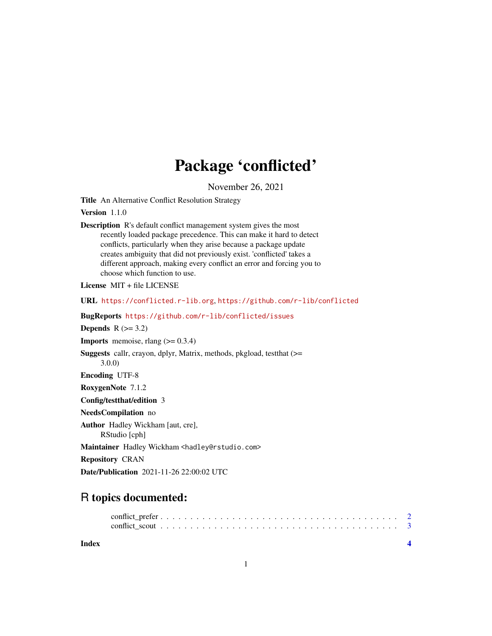## Package 'conflicted'

November 26, 2021

Title An Alternative Conflict Resolution Strategy

Version 1.1.0

Description R's default conflict management system gives the most recently loaded package precedence. This can make it hard to detect conflicts, particularly when they arise because a package update creates ambiguity that did not previously exist. 'conflicted' takes a different approach, making every conflict an error and forcing you to choose which function to use.

License MIT + file LICENSE

URL <https://conflicted.r-lib.org>, <https://github.com/r-lib/conflicted>

BugReports <https://github.com/r-lib/conflicted/issues>

Depends  $R$  ( $>= 3.2$ )

**Imports** memoise, rlang  $(>= 0.3.4)$ 

Suggests callr, crayon, dplyr, Matrix, methods, pkgload, testthat (>= 3.0.0)

Encoding UTF-8

RoxygenNote 7.1.2

Config/testthat/edition 3

NeedsCompilation no

Author Hadley Wickham [aut, cre], RStudio [cph]

Maintainer Hadley Wickham <hadley@rstudio.com>

Repository CRAN

Date/Publication 2021-11-26 22:00:02 UTC

### R topics documented:

#### **Index** [4](#page-3-0)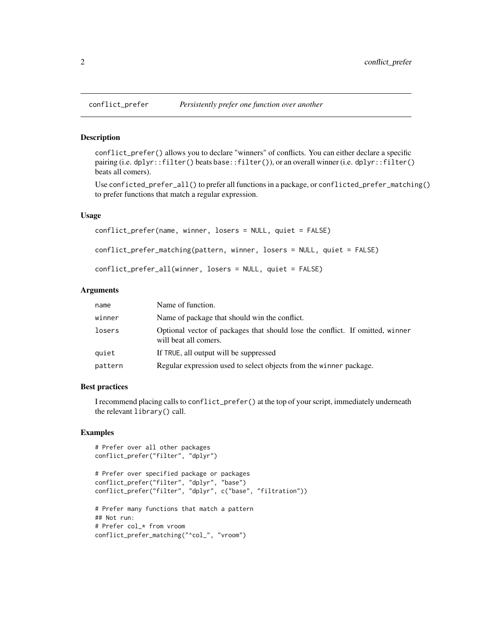#### **Description**

conflict\_prefer() allows you to declare "winners" of conflicts. You can either declare a specific pairing (i.e. dplyr::filter() beats base::filter()), or an overall winner (i.e. dplyr::filter() beats all comers).

Use conficted\_prefer\_all() to prefer all functions in a package, or conflicted\_prefer\_matching() to prefer functions that match a regular expression.

#### Usage

```
conflict_prefer(name, winner, losers = NULL, quiet = FALSE)
conflict_prefer_matching(pattern, winner, losers = NULL, quiet = FALSE)
conflict_prefer_all(winner, losers = NULL, quiet = FALSE)
```
#### Arguments

| name    | Name of function.                                                                                      |
|---------|--------------------------------------------------------------------------------------------------------|
| winner  | Name of package that should win the conflict.                                                          |
| losers  | Optional vector of packages that should lose the conflict. If omitted, winner<br>will beat all comers. |
| quiet   | If TRUE, all output will be suppressed                                                                 |
| pattern | Regular expression used to select objects from the winner package.                                     |

#### Best practices

I recommend placing calls to conflict\_prefer() at the top of your script, immediately underneath the relevant library() call.

#### Examples

```
# Prefer over all other packages
conflict_prefer("filter", "dplyr")
# Prefer over specified package or packages
conflict_prefer("filter", "dplyr", "base")
conflict_prefer("filter", "dplyr", c("base", "filtration"))
# Prefer many functions that match a pattern
## Not run:
# Prefer col_* from vroom
conflict_prefer_matching("^col_", "vroom")
```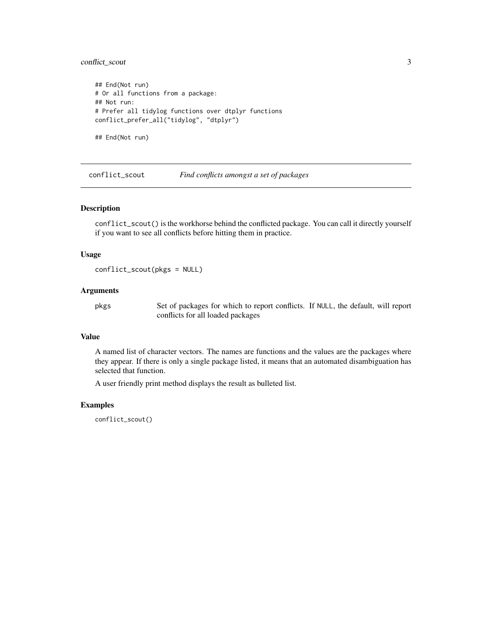#### <span id="page-2-0"></span>conflict\_scout 3

```
## End(Not run)
# Or all functions from a package:
## Not run:
# Prefer all tidylog functions over dtplyr functions
conflict_prefer_all("tidylog", "dtplyr")
```
## End(Not run)

conflict\_scout *Find conflicts amongst a set of packages*

#### Description

conflict\_scout() is the workhorse behind the conflicted package. You can call it directly yourself if you want to see all conflicts before hitting them in practice.

#### Usage

```
conflict_scout(pkgs = NULL)
```
#### Arguments

pkgs Set of packages for which to report conflicts. If NULL, the default, will report conflicts for all loaded packages

#### Value

A named list of character vectors. The names are functions and the values are the packages where they appear. If there is only a single package listed, it means that an automated disambiguation has selected that function.

A user friendly print method displays the result as bulleted list.

#### Examples

conflict\_scout()